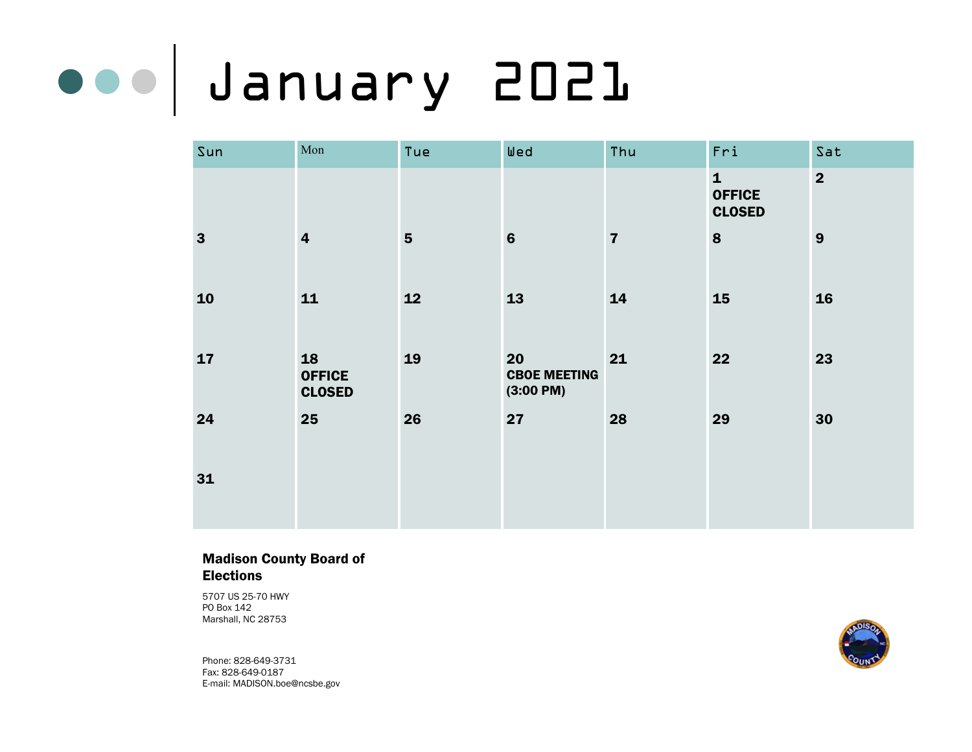# January 2021

| Sun          | Mon                                  | Tue            | Wed                                              | Thu                     | Fri                                            | Sat            |
|--------------|--------------------------------------|----------------|--------------------------------------------------|-------------------------|------------------------------------------------|----------------|
|              |                                      |                |                                                  |                         | $\mathbf{1}$<br><b>OFFICE</b><br><b>CLOSED</b> | $\overline{2}$ |
| $\mathbf{3}$ | $\overline{\mathbf{4}}$              | $5\phantom{1}$ | $6\phantom{1}6$                                  | $\overline{\mathbf{z}}$ | 8                                              | 9              |
| 10           | 11                                   | 12             | 13                                               | 14                      | 15                                             | 16             |
| 17           | 18<br><b>OFFICE</b><br><b>CLOSED</b> | 19             | 20<br><b>CBOE MEETING</b><br>$(3:00 \text{ PM})$ | 21                      | 22                                             | 23             |
| 24           | 25                                   | 26             | 27                                               | 28                      | 29                                             | 30             |
| 31           |                                      |                |                                                  |                         |                                                |                |

### Madison County Board of Elections

5707 US 25-70 HWY PO Box 142 Marshall, NC 28753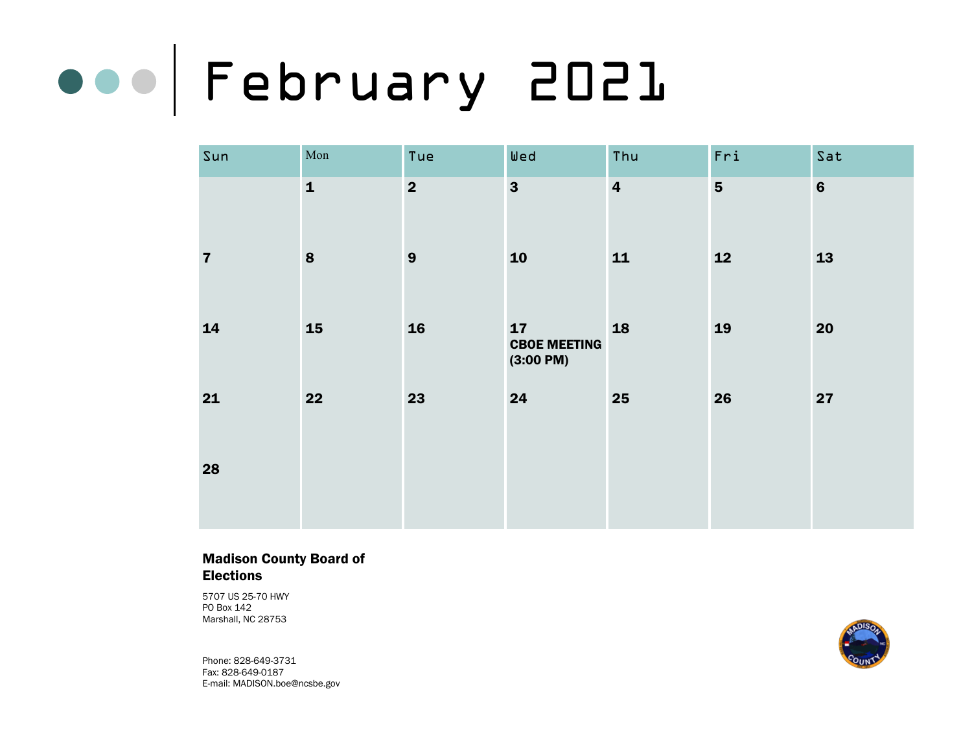# February 2021

| Sun                     | $\operatorname{Mon}$ | Tue                     | Wed                                              | Thu                     | Fri                     | Sat            |
|-------------------------|----------------------|-------------------------|--------------------------------------------------|-------------------------|-------------------------|----------------|
|                         | $\mathbf{1}$         | $\overline{\mathbf{2}}$ | $\overline{\mathbf{3}}$                          | $\overline{\mathbf{4}}$ | $\overline{\mathbf{5}}$ | $6\phantom{a}$ |
| $\overline{\mathbf{7}}$ | $\bf{8}$             | $\boldsymbol{9}$        | 10                                               | 11                      | 12                      | 13             |
| 14                      | 15                   | 16                      | 17<br><b>CBOE MEETING</b><br>$(3:00 \text{ PM})$ | 18                      | 19                      | 20             |
| 21                      | 22                   | 23                      | 24                                               | 25                      | 26                      | 27             |
| 28                      |                      |                         |                                                  |                         |                         |                |

### Madison County Board of Elections

5707 US 25-70 HWY PO Box 142 Marshall, NC 28753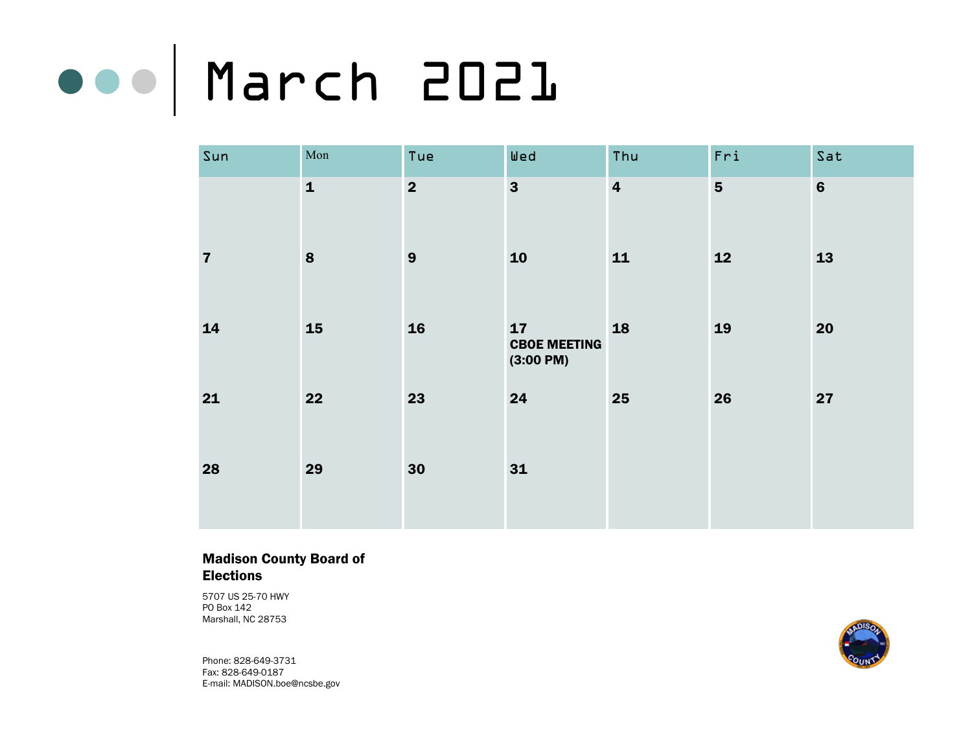## March 2021

| Sun                     | Mon          | Tue                     | Wed                                              | Thu                     | Fri            | Sat     |
|-------------------------|--------------|-------------------------|--------------------------------------------------|-------------------------|----------------|---------|
|                         | $\mathbf{1}$ | $\overline{\mathbf{2}}$ | $\overline{\mathbf{3}}$                          | $\overline{\mathbf{4}}$ | $5\phantom{1}$ | $\bf 6$ |
| $\overline{\mathbf{7}}$ | ${\bf 8}$    | $\boldsymbol{9}$        | 10                                               | 11                      | 12             | 13      |
| 14                      | 15           | 16                      | 17<br><b>CBOE MEETING</b><br>$(3:00 \text{ PM})$ | 18                      | 19             | 20      |
| 21                      | 22           | 23                      | 24                                               | 25                      | 26             | 27      |
| 28                      | 29           | 30                      | 31                                               |                         |                |         |

### Madison County Board of Elections

5707 US 25-70 HWY PO Box 142 Marshall, NC 28753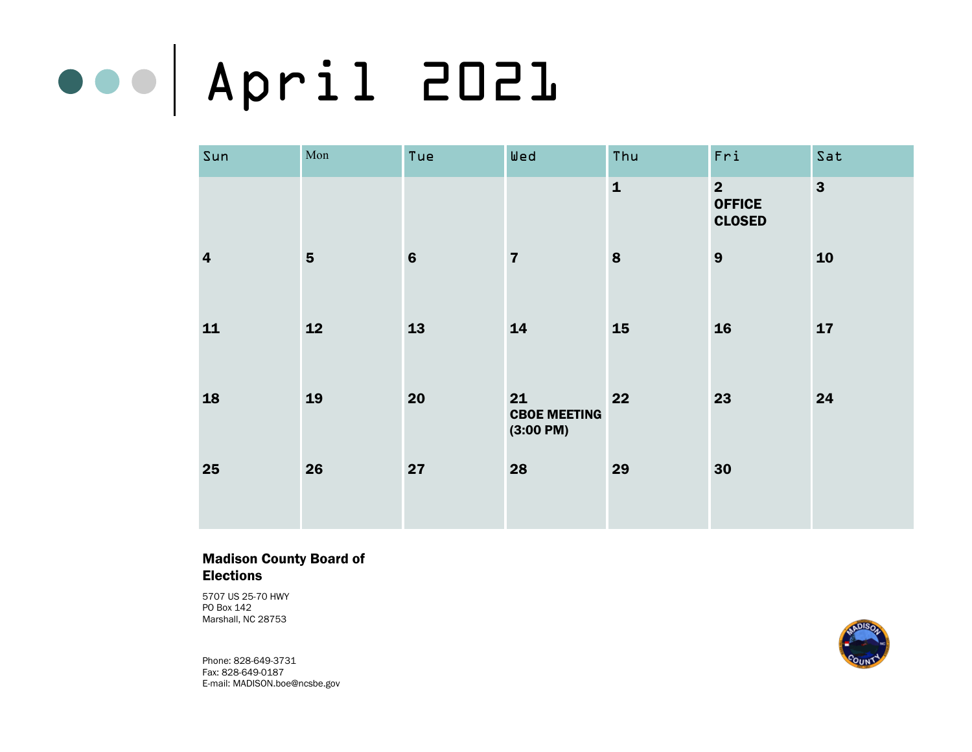# April 2021

| Sun                     | Mon            | Tue     | Wed                                              | Thu          | Fri                                              | Sat                     |
|-------------------------|----------------|---------|--------------------------------------------------|--------------|--------------------------------------------------|-------------------------|
|                         |                |         |                                                  | $\mathbf{1}$ | $\overline{2}$<br><b>OFFICE</b><br><b>CLOSED</b> | $\overline{\mathbf{3}}$ |
| $\overline{\mathbf{4}}$ | $5\phantom{1}$ | $\bf 6$ | $\overline{7}$                                   | 8            | 9                                                | 10                      |
| 11                      | 12             | 13      | 14                                               | <b>15</b>    | <b>16</b>                                        | 17                      |
| 18                      | 19             | 20      | 21<br><b>CBOE MEETING</b><br>$(3:00 \text{ PM})$ | 22           | 23                                               | 24                      |
| 25                      | 26             | 27      | 28                                               | 29           | 30                                               |                         |

### Madison County Board of Elections

5707 US 25-70 HWY PO Box 142 Marshall, NC 28753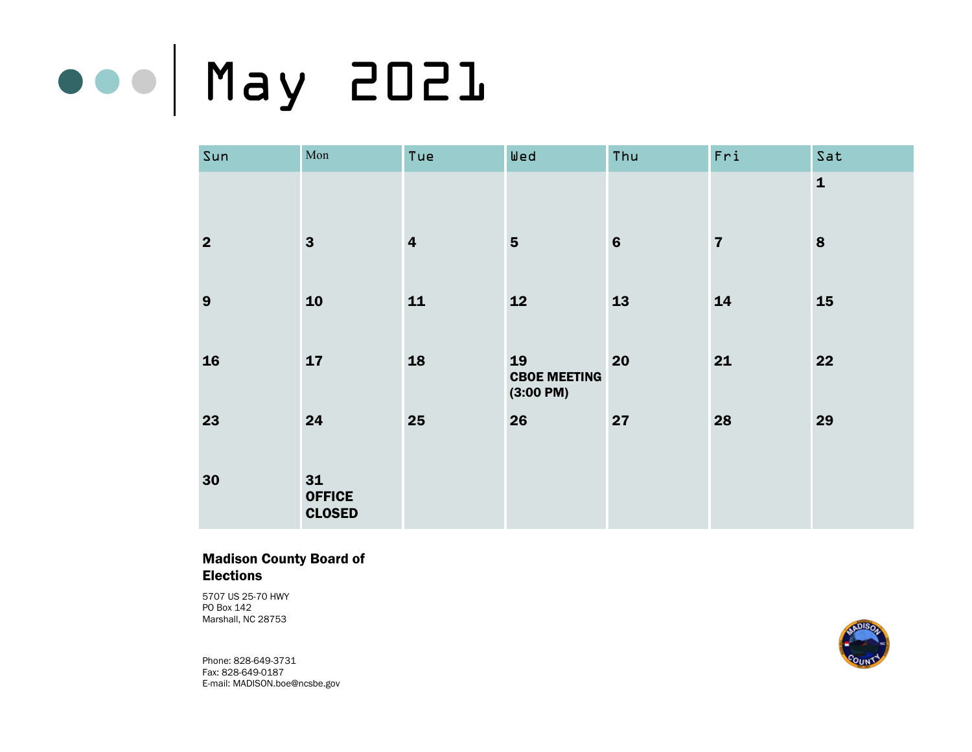# May 2021

| Sun            | $\operatorname{Mon}$                 | Tue                     | Wed                                     | Thu             | Fri            | Sat          |
|----------------|--------------------------------------|-------------------------|-----------------------------------------|-----------------|----------------|--------------|
|                |                                      |                         |                                         |                 |                | $\mathbf{1}$ |
| $\overline{2}$ | $\mathbf{3}$                         | $\overline{\mathbf{4}}$ | $5\phantom{1}$                          | $6\phantom{1}6$ | $\overline{7}$ | 8            |
| 9              | 10                                   | 11                      | 12                                      | 13              | 14             | 15           |
| 16             | 17                                   | 18                      | 19<br><b>CBOE MEETING</b><br>(3:00 P M) | 20              | 21             | 22           |
| 23             | 24                                   | 25                      | 26                                      | 27              | 28             | 29           |
| 30             | 31<br><b>OFFICE</b><br><b>CLOSED</b> |                         |                                         |                 |                |              |

### Madison County Board of Elections

5707 US 25-70 HWY PO Box 142 Marshall, NC 28753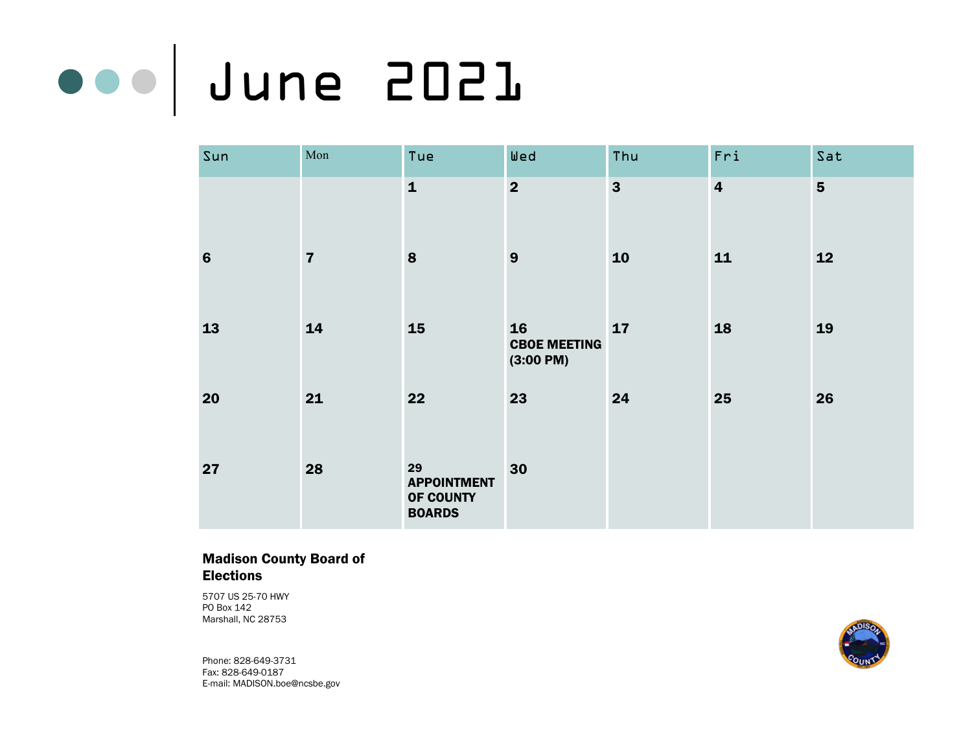# June 2021

| Sun             | Mon            | Tue                                                    | Wed                                     | Thu                     | Fri                     | Sat            |
|-----------------|----------------|--------------------------------------------------------|-----------------------------------------|-------------------------|-------------------------|----------------|
|                 |                | $\mathbf{1}$                                           | $\overline{\mathbf{2}}$                 | $\overline{\mathbf{3}}$ | $\overline{\mathbf{4}}$ | $5\phantom{1}$ |
| $6\phantom{1}6$ | $\overline{7}$ | 8                                                      | 9                                       | 10                      | 11                      | 12             |
| 13              | 14             | 15                                                     | 16<br><b>CBOE MEETING</b><br>(3:00 P M) | 17                      | 18                      | 19             |
| 20              | 21             | 22                                                     | 23                                      | 24                      | 25                      | 26             |
| 27              | 28             | 29<br><b>APPOINTMENT</b><br>OF COUNTY<br><b>BOARDS</b> | 30                                      |                         |                         |                |

### Madison County Board of Elections

5707 US 25-70 HWY PO Box 142 Marshall, NC 28753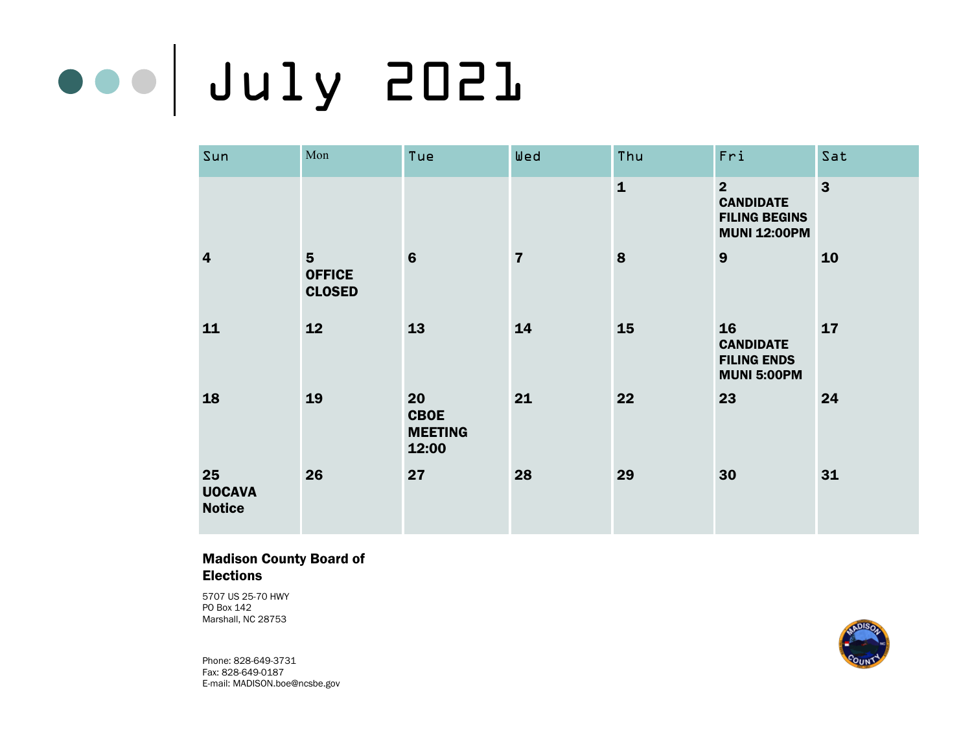# July 2021

| Sun                                  | Mon                                              | Tue                                          | Wed                     | Thu          | Fri                                                                               | Sat            |
|--------------------------------------|--------------------------------------------------|----------------------------------------------|-------------------------|--------------|-----------------------------------------------------------------------------------|----------------|
|                                      |                                                  |                                              |                         | $\mathbf{1}$ | $\overline{2}$<br><b>CANDIDATE</b><br><b>FILING BEGINS</b><br><b>MUNI 12:00PM</b> | $\overline{3}$ |
| $\overline{\mathbf{4}}$              | $5\phantom{1}$<br><b>OFFICE</b><br><b>CLOSED</b> | $6\phantom{1}6$                              | $\overline{\mathbf{7}}$ | $\bf{8}$     | 9                                                                                 | 10             |
| 11                                   | 12                                               | 13                                           | 14                      | 15           | 16<br><b>CANDIDATE</b><br><b>FILING ENDS</b><br><b>MUNI 5:00PM</b>                | 17             |
| 18                                   | 19                                               | 20<br><b>CBOE</b><br><b>MEETING</b><br>12:00 | 21                      | 22           | 23                                                                                | 24             |
| 25<br><b>UOCAVA</b><br><b>Notice</b> | 26                                               | 27                                           | 28                      | 29           | 30                                                                                | 31             |

### Madison County Board of Elections

5707 US 25-70 HWY PO Box 142 Marshall, NC 28753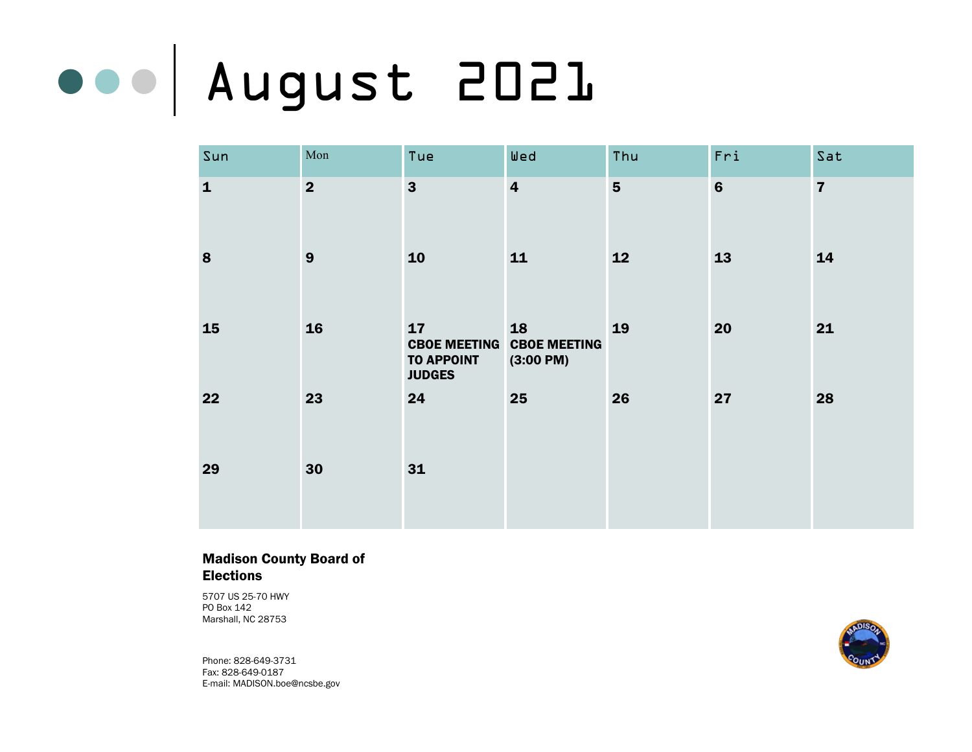# August 2021

| Sun          | $\operatorname{Mon}$ | Tue                                                             | Wed                                              | Thu            | Fri            | Sat            |
|--------------|----------------------|-----------------------------------------------------------------|--------------------------------------------------|----------------|----------------|----------------|
| $\mathbf{1}$ | $\overline{2}$       | $\mathbf{3}$                                                    | $\overline{\mathbf{4}}$                          | $5\phantom{1}$ | $6\phantom{1}$ | $\overline{7}$ |
| 8            | 9                    | 10                                                              | 11                                               | 12             | 13             | 14             |
| 15           | <b>16</b>            | 17<br><b>CBOE MEETING</b><br><b>TO APPOINT</b><br><b>JUDGES</b> | 18<br><b>CBOE MEETING</b><br>$(3:00 \text{ PM})$ | 19             | 20             | 21             |
| 22           | 23                   | 24                                                              | 25                                               | 26             | 27             | 28             |
| 29           | 30                   | 31                                                              |                                                  |                |                |                |

### Madison County Board of Elections

5707 US 25-70 HWY PO Box 142 Marshall, NC 28753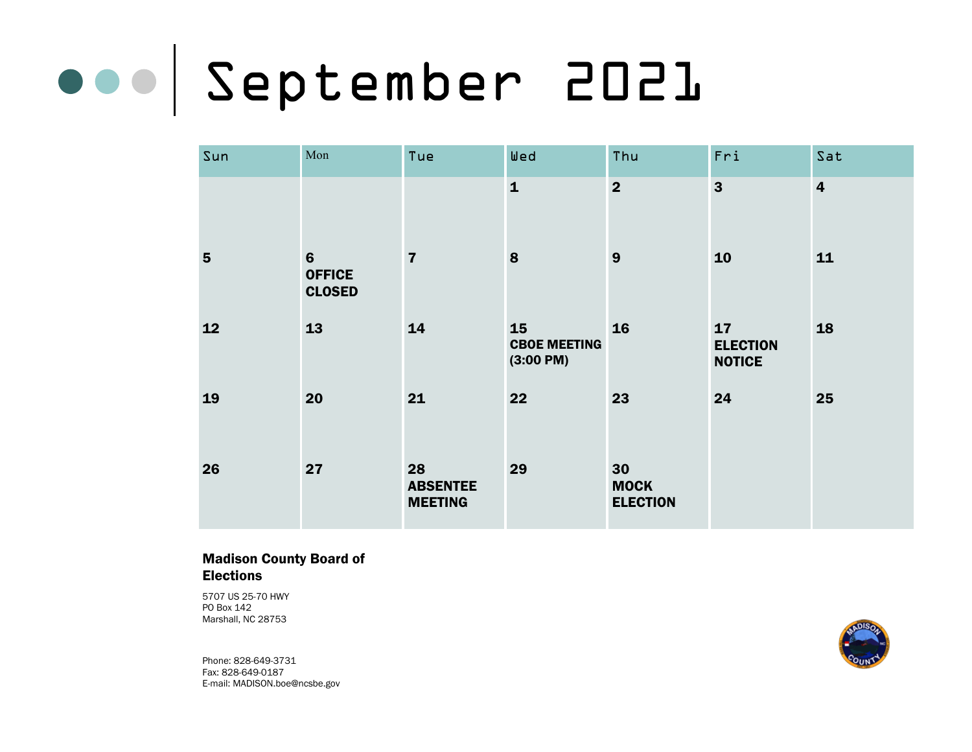### September 2021

| Sun            | Mon                                               | Tue                                     | Wed                                     | Thu                                  | Fri                                    | Sat                     |
|----------------|---------------------------------------------------|-----------------------------------------|-----------------------------------------|--------------------------------------|----------------------------------------|-------------------------|
|                |                                                   |                                         | $\mathbf{1}$                            | $\overline{2}$                       | $\mathbf{3}$                           | $\overline{\mathbf{4}}$ |
| $5\phantom{1}$ | $6\phantom{1}6$<br><b>OFFICE</b><br><b>CLOSED</b> | $\overline{7}$                          | 8                                       | 9                                    | 10                                     | 11                      |
| 12             | 13                                                | 14                                      | 15<br><b>CBOE MEETING</b><br>(3:00 P M) | 16                                   | 17<br><b>ELECTION</b><br><b>NOTICE</b> | 18                      |
| 19             | 20                                                | 21                                      | 22                                      | 23                                   | 24                                     | 25                      |
| 26             | 27                                                | 28<br><b>ABSENTEE</b><br><b>MEETING</b> | 29                                      | 30<br><b>MOCK</b><br><b>ELECTION</b> |                                        |                         |

### Madison County Board of Elections

5707 US 25-70 HWY PO Box 142 Marshall, NC 28753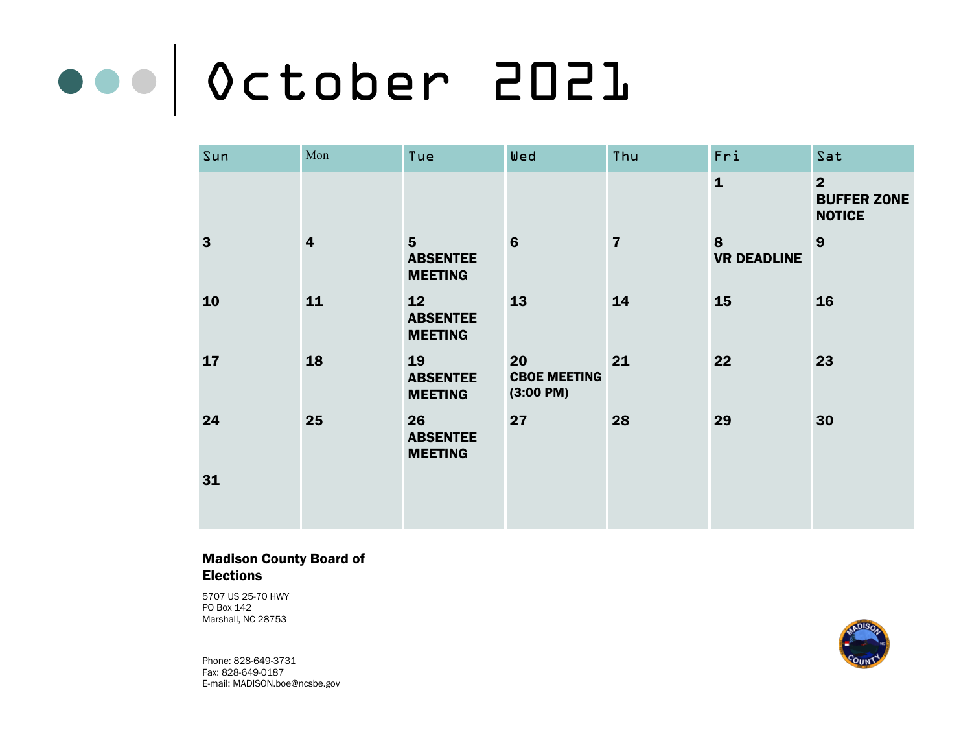# October 2021

| Sun          | Mon                     | Tue                                                 | Wed                                              | Thu            | Fri                     | Sat                                                   |
|--------------|-------------------------|-----------------------------------------------------|--------------------------------------------------|----------------|-------------------------|-------------------------------------------------------|
|              |                         |                                                     |                                                  |                | $\mathbf{1}$            | $\overline{2}$<br><b>BUFFER ZONE</b><br><b>NOTICE</b> |
| $\mathbf{3}$ | $\overline{\mathbf{4}}$ | $5\phantom{1}$<br><b>ABSENTEE</b><br><b>MEETING</b> | 6                                                | $\overline{7}$ | 8<br><b>VR DEADLINE</b> | 9                                                     |
| 10           | 11                      | 12<br><b>ABSENTEE</b><br><b>MEETING</b>             | 13                                               | 14             | 15                      | 16                                                    |
| 17           | 18                      | 19<br><b>ABSENTEE</b><br><b>MEETING</b>             | 20<br><b>CBOE MEETING</b><br>$(3:00 \text{ PM})$ | 21             | 22                      | 23                                                    |
| 24           | 25                      | 26<br><b>ABSENTEE</b><br><b>MEETING</b>             | 27                                               | 28             | 29                      | 30                                                    |
| 31           |                         |                                                     |                                                  |                |                         |                                                       |

### Madison County Board of Elections

5707 US 25-70 HWY PO Box 142 Marshall, NC 28753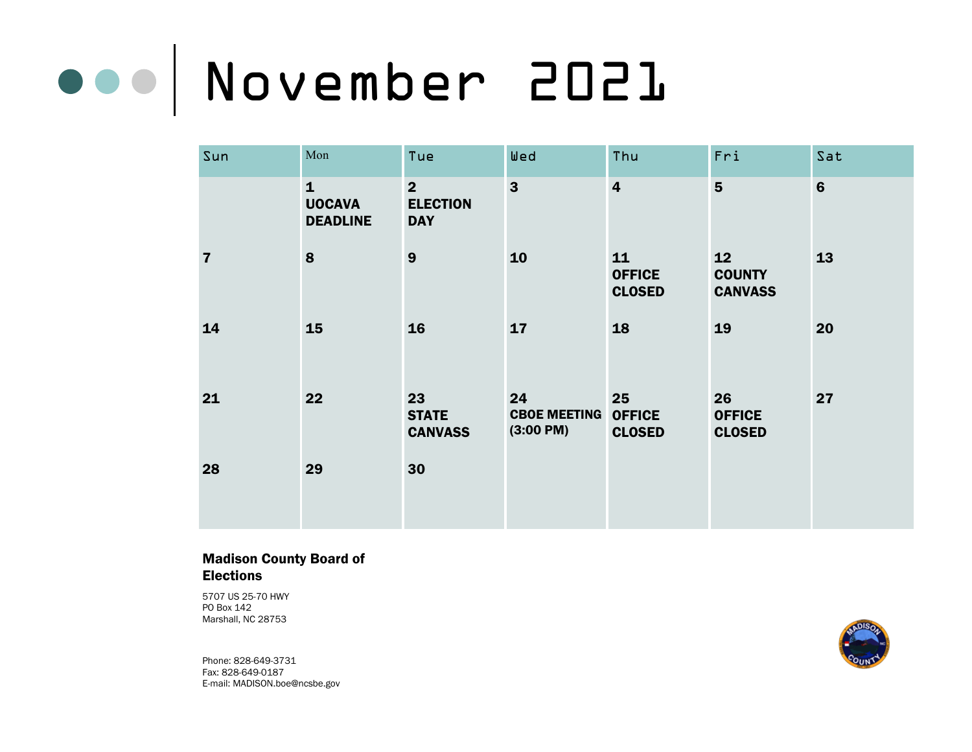### November 2021

| Sun            | Mon                                              | Tue                                             | Wed                                              | Thu                                  | Fri                                   | Sat            |
|----------------|--------------------------------------------------|-------------------------------------------------|--------------------------------------------------|--------------------------------------|---------------------------------------|----------------|
|                | $\mathbf{1}$<br><b>UOCAVA</b><br><b>DEADLINE</b> | $\overline{2}$<br><b>ELECTION</b><br><b>DAY</b> | $\overline{3}$                                   | $\overline{\mathbf{4}}$              | $5\phantom{1}$                        | $6\phantom{1}$ |
| $\overline{7}$ | 8                                                | 9                                               | 10                                               | 11<br><b>OFFICE</b><br><b>CLOSED</b> | 12<br><b>COUNTY</b><br><b>CANVASS</b> | 13             |
| 14             | 15                                               | 16                                              | 17                                               | 18                                   | 19                                    | 20             |
| 21             | 22                                               | 23<br><b>STATE</b><br><b>CANVASS</b>            | 24<br><b>CBOE MEETING</b><br>$(3:00 \text{ PM})$ | 25<br><b>OFFICE</b><br><b>CLOSED</b> | 26<br><b>OFFICE</b><br><b>CLOSED</b>  | 27             |
| 28             | 29                                               | 30                                              |                                                  |                                      |                                       |                |

### Madison County Board of Elections

5707 US 25-70 HWY PO Box 142 Marshall, NC 28753